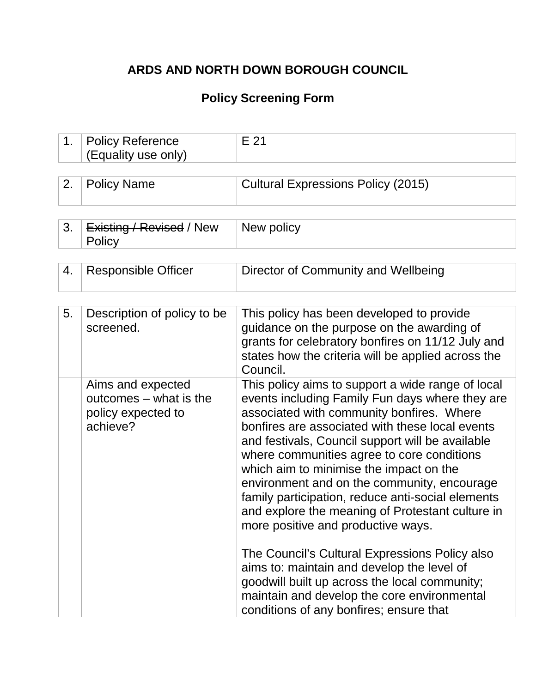# **ARDS AND NORTH DOWN BOROUGH COUNCIL**

## **Policy Screening Form**

| 1. | <b>Policy Reference</b><br>(Equality use only)                                | $E$ 21                                                                                                                                                                                                                                                                                                                                                                                                                                                                                                                                                                                                                                                                                                                                                                                     |
|----|-------------------------------------------------------------------------------|--------------------------------------------------------------------------------------------------------------------------------------------------------------------------------------------------------------------------------------------------------------------------------------------------------------------------------------------------------------------------------------------------------------------------------------------------------------------------------------------------------------------------------------------------------------------------------------------------------------------------------------------------------------------------------------------------------------------------------------------------------------------------------------------|
|    |                                                                               |                                                                                                                                                                                                                                                                                                                                                                                                                                                                                                                                                                                                                                                                                                                                                                                            |
| 2. | <b>Policy Name</b>                                                            | <b>Cultural Expressions Policy (2015)</b>                                                                                                                                                                                                                                                                                                                                                                                                                                                                                                                                                                                                                                                                                                                                                  |
|    |                                                                               |                                                                                                                                                                                                                                                                                                                                                                                                                                                                                                                                                                                                                                                                                                                                                                                            |
| 3. | Existing / Revised / New<br>Policy                                            | New policy                                                                                                                                                                                                                                                                                                                                                                                                                                                                                                                                                                                                                                                                                                                                                                                 |
|    |                                                                               |                                                                                                                                                                                                                                                                                                                                                                                                                                                                                                                                                                                                                                                                                                                                                                                            |
| 4. | <b>Responsible Officer</b>                                                    | Director of Community and Wellbeing                                                                                                                                                                                                                                                                                                                                                                                                                                                                                                                                                                                                                                                                                                                                                        |
|    |                                                                               |                                                                                                                                                                                                                                                                                                                                                                                                                                                                                                                                                                                                                                                                                                                                                                                            |
| 5. | Description of policy to be<br>screened.                                      | This policy has been developed to provide<br>guidance on the purpose on the awarding of<br>grants for celebratory bonfires on 11/12 July and<br>states how the criteria will be applied across the<br>Council.                                                                                                                                                                                                                                                                                                                                                                                                                                                                                                                                                                             |
|    | Aims and expected<br>outcomes – what is the<br>policy expected to<br>achieve? | This policy aims to support a wide range of local<br>events including Family Fun days where they are<br>associated with community bonfires. Where<br>bonfires are associated with these local events<br>and festivals, Council support will be available<br>where communities agree to core conditions<br>which aim to minimise the impact on the<br>environment and on the community, encourage<br>family participation, reduce anti-social elements<br>and explore the meaning of Protestant culture in<br>more positive and productive ways.<br>The Council's Cultural Expressions Policy also<br>aims to: maintain and develop the level of<br>goodwill built up across the local community;<br>maintain and develop the core environmental<br>conditions of any bonfires; ensure that |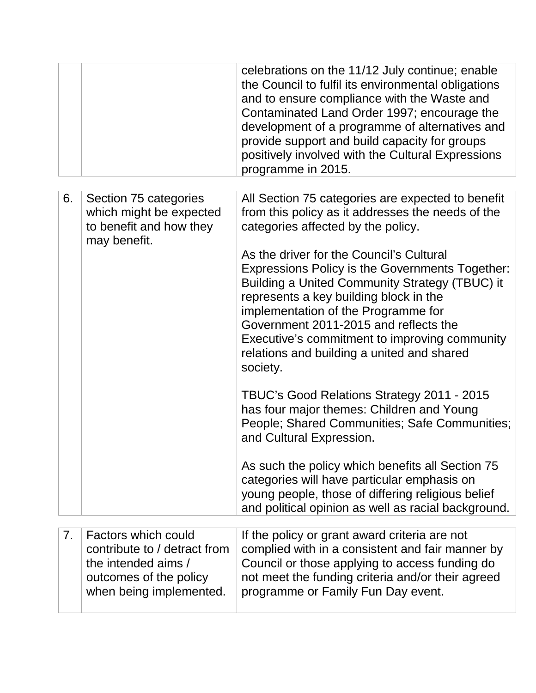|                |                                                                                                          | celebrations on the 11/12 July continue; enable<br>the Council to fulfil its environmental obligations<br>and to ensure compliance with the Waste and<br>Contaminated Land Order 1997; encourage the<br>development of a programme of alternatives and<br>provide support and build capacity for groups<br>positively involved with the Cultural Expressions<br>programme in 2015.        |
|----------------|----------------------------------------------------------------------------------------------------------|-------------------------------------------------------------------------------------------------------------------------------------------------------------------------------------------------------------------------------------------------------------------------------------------------------------------------------------------------------------------------------------------|
| 6.             | Section 75 categories                                                                                    | All Section 75 categories are expected to benefit                                                                                                                                                                                                                                                                                                                                         |
|                | which might be expected<br>to benefit and how they<br>may benefit.                                       | from this policy as it addresses the needs of the<br>categories affected by the policy.                                                                                                                                                                                                                                                                                                   |
|                |                                                                                                          | As the driver for the Council's Cultural<br><b>Expressions Policy is the Governments Together:</b><br>Building a United Community Strategy (TBUC) it<br>represents a key building block in the<br>implementation of the Programme for<br>Government 2011-2015 and reflects the<br>Executive's commitment to improving community<br>relations and building a united and shared<br>society. |
|                |                                                                                                          | TBUC's Good Relations Strategy 2011 - 2015<br>has four major themes: Children and Young<br>People; Shared Communities; Safe Communities;<br>and Cultural Expression.                                                                                                                                                                                                                      |
|                |                                                                                                          | As such the policy which benefits all Section 75<br>categories will have particular emphasis on<br>young people, those of differing religious belief<br>and political opinion as well as racial background.                                                                                                                                                                               |
| 7 <sub>1</sub> | Factors which could                                                                                      |                                                                                                                                                                                                                                                                                                                                                                                           |
|                | contribute to / detract from<br>the intended aims /<br>outcomes of the policy<br>when being implemented. | If the policy or grant award criteria are not<br>complied with in a consistent and fair manner by<br>Council or those applying to access funding do<br>not meet the funding criteria and/or their agreed<br>programme or Family Fun Day event.                                                                                                                                            |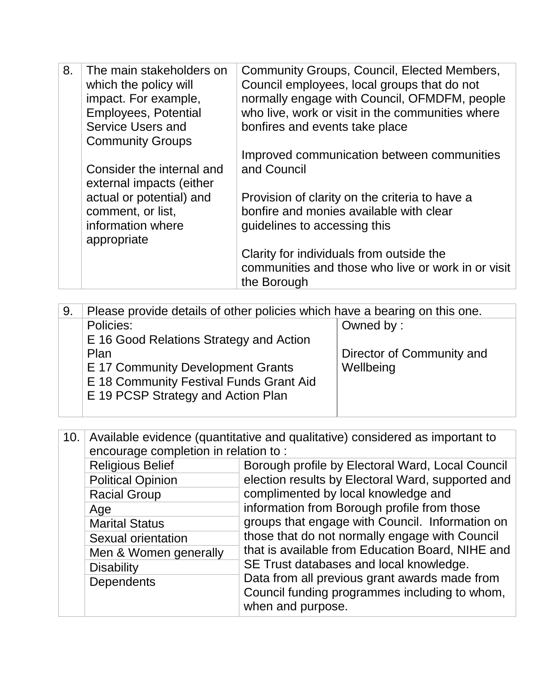| 8. | The main stakeholders on<br>which the policy will | Community Groups, Council, Elected Members,<br>Council employees, local groups that do not |
|----|---------------------------------------------------|--------------------------------------------------------------------------------------------|
|    | impact. For example,                              | normally engage with Council, OFMDFM, people                                               |
|    | <b>Employees, Potential</b>                       | who live, work or visit in the communities where                                           |
|    | Service Users and                                 | bonfires and events take place                                                             |
|    | <b>Community Groups</b>                           |                                                                                            |
|    |                                                   | Improved communication between communities                                                 |
|    | Consider the internal and                         | and Council                                                                                |
|    | external impacts (either                          |                                                                                            |
|    | actual or potential) and                          | Provision of clarity on the criteria to have a                                             |
|    | comment, or list,                                 | bonfire and monies available with clear                                                    |
|    | information where                                 | guidelines to accessing this                                                               |
|    | appropriate                                       |                                                                                            |
|    |                                                   | Clarity for individuals from outside the                                                   |
|    |                                                   | communities and those who live or work in or visit                                         |
|    |                                                   | the Borough                                                                                |

| 9. | Please provide details of other policies which have a bearing on this one.                        |                                                     |
|----|---------------------------------------------------------------------------------------------------|-----------------------------------------------------|
|    | Policies:<br>E 16 Good Relations Strategy and Action<br>Plan<br>E 17 Community Development Grants | Owned by:<br>Director of Community and<br>Wellbeing |
|    | E 18 Community Festival Funds Grant Aid<br>E 19 PCSP Strategy and Action Plan                     |                                                     |

10. Available evidence (quantitative and qualitative) considered as important to encourage completion in relation to : Religious Belief **Borough profile by Electoral Ward, Local Council** election results by Electoral Ward, supported and complimented by local knowledge and information from Borough profile from those groups that engage with Council. Information on those that do not normally engage with Council that is available from Education Board, NIHE and SE Trust databases and local knowledge. Data from all previous grant awards made from Council funding programmes including to whom, when and purpose. Political Opinion Racial Group Age Marital Status Sexual orientation Men & Women generally **Disability Dependents**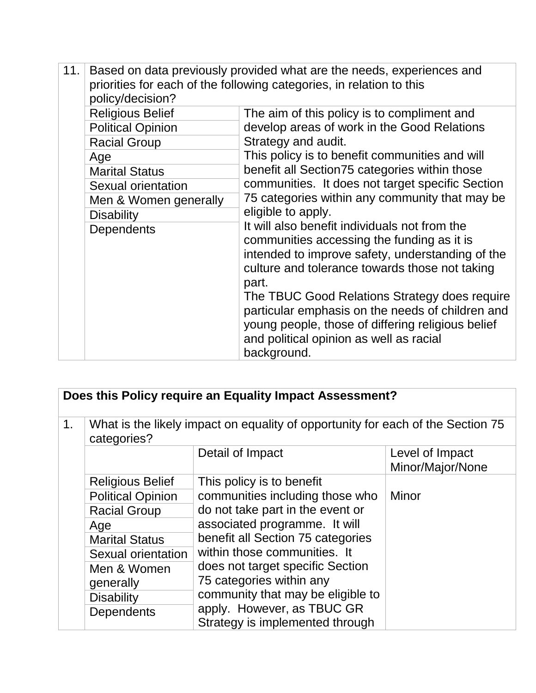| 11.               | Based on data previously provided what are the needs, experiences and<br>priorities for each of the following categories, in relation to this<br>policy/decision?                                          |                                                                                                                                                                                                                  |  |
|-------------------|------------------------------------------------------------------------------------------------------------------------------------------------------------------------------------------------------------|------------------------------------------------------------------------------------------------------------------------------------------------------------------------------------------------------------------|--|
|                   | <b>Religious Belief</b>                                                                                                                                                                                    | The aim of this policy is to compliment and                                                                                                                                                                      |  |
|                   | <b>Political Opinion</b>                                                                                                                                                                                   | develop areas of work in the Good Relations                                                                                                                                                                      |  |
|                   | <b>Racial Group</b>                                                                                                                                                                                        | Strategy and audit.                                                                                                                                                                                              |  |
|                   | Age                                                                                                                                                                                                        | This policy is to benefit communities and will                                                                                                                                                                   |  |
|                   | <b>Marital Status</b>                                                                                                                                                                                      | benefit all Section75 categories within those                                                                                                                                                                    |  |
|                   | Sexual orientation                                                                                                                                                                                         | communities. It does not target specific Section                                                                                                                                                                 |  |
|                   | Men & Women generally                                                                                                                                                                                      | 75 categories within any community that may be                                                                                                                                                                   |  |
|                   | <b>Disability</b>                                                                                                                                                                                          | eligible to apply.                                                                                                                                                                                               |  |
| <b>Dependents</b> | It will also benefit individuals not from the<br>communities accessing the funding as it is<br>intended to improve safety, understanding of the<br>culture and tolerance towards those not taking<br>part. |                                                                                                                                                                                                                  |  |
|                   |                                                                                                                                                                                                            | The TBUC Good Relations Strategy does require<br>particular emphasis on the needs of children and<br>young people, those of differing religious belief<br>and political opinion as well as racial<br>background. |  |

1. What is the likely impact on equality of opportunity for each of the Section 75 categories?

|                          | Detail of Impact                  | Level of Impact<br>Minor/Major/None |
|--------------------------|-----------------------------------|-------------------------------------|
| <b>Religious Belief</b>  | This policy is to benefit         |                                     |
| <b>Political Opinion</b> | communities including those who   | Minor                               |
| <b>Racial Group</b>      | do not take part in the event or  |                                     |
| Age                      | associated programme. It will     |                                     |
| <b>Marital Status</b>    | benefit all Section 75 categories |                                     |
| Sexual orientation       | within those communities. It      |                                     |
| Men & Women              | does not target specific Section  |                                     |
| generally                | 75 categories within any          |                                     |
| <b>Disability</b>        | community that may be eligible to |                                     |
| <b>Dependents</b>        | apply. However, as TBUC GR        |                                     |
|                          | Strategy is implemented through   |                                     |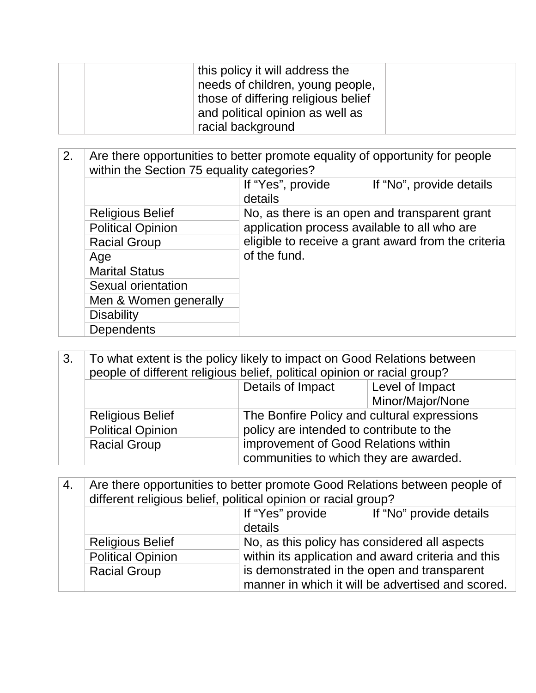| this policy it will address the<br>needs of children, young people,<br>those of differing religious belief |  |
|------------------------------------------------------------------------------------------------------------|--|
| and political opinion as well as                                                                           |  |
| racial background                                                                                          |  |

| 2. | Are there opportunities to better promote equality of opportunity for people<br>within the Section 75 equality categories? |                                                                                                     |                                               |
|----|----------------------------------------------------------------------------------------------------------------------------|-----------------------------------------------------------------------------------------------------|-----------------------------------------------|
|    |                                                                                                                            | If "Yes", provide<br>details                                                                        | If "No", provide details                      |
|    | <b>Religious Belief</b>                                                                                                    |                                                                                                     | No, as there is an open and transparent grant |
|    | <b>Political Opinion</b>                                                                                                   | application process available to all who are<br>eligible to receive a grant award from the criteria |                                               |
|    | <b>Racial Group</b>                                                                                                        |                                                                                                     |                                               |
|    | Age                                                                                                                        | of the fund.                                                                                        |                                               |
|    | <b>Marital Status</b>                                                                                                      |                                                                                                     |                                               |
|    | Sexual orientation                                                                                                         |                                                                                                     |                                               |
|    | Men & Women generally                                                                                                      |                                                                                                     |                                               |
|    | <b>Disability</b>                                                                                                          |                                                                                                     |                                               |
|    | <b>Dependents</b>                                                                                                          |                                                                                                     |                                               |

| 3.                                                                                                 | To what extent is the policy likely to impact on Good Relations between<br>people of different religious belief, political opinion or racial group? |                                          |                  |
|----------------------------------------------------------------------------------------------------|-----------------------------------------------------------------------------------------------------------------------------------------------------|------------------------------------------|------------------|
|                                                                                                    |                                                                                                                                                     | Details of Impact                        | Level of Impact  |
|                                                                                                    |                                                                                                                                                     |                                          | Minor/Major/None |
| The Bonfire Policy and cultural expressions<br><b>Religious Belief</b><br><b>Political Opinion</b> |                                                                                                                                                     |                                          |                  |
|                                                                                                    |                                                                                                                                                     | policy are intended to contribute to the |                  |
|                                                                                                    | <b>Racial Group</b>                                                                                                                                 | improvement of Good Relations within     |                  |
|                                                                                                    |                                                                                                                                                     | communities to which they are awarded.   |                  |

| 4. | Are there opportunities to better promote Good Relations between people of<br>different religious belief, political opinion or racial group? |                                                                                                                                                    |                         |
|----|----------------------------------------------------------------------------------------------------------------------------------------------|----------------------------------------------------------------------------------------------------------------------------------------------------|-------------------------|
|    | If "Yes" provide                                                                                                                             |                                                                                                                                                    | If "No" provide details |
|    |                                                                                                                                              | details                                                                                                                                            |                         |
|    | <b>Religious Belief</b>                                                                                                                      | No, as this policy has considered all aspects<br>within its application and award criteria and this<br>is demonstrated in the open and transparent |                         |
|    | <b>Political Opinion</b>                                                                                                                     |                                                                                                                                                    |                         |
|    | <b>Racial Group</b>                                                                                                                          |                                                                                                                                                    |                         |
|    |                                                                                                                                              | manner in which it will be advertised and scored.                                                                                                  |                         |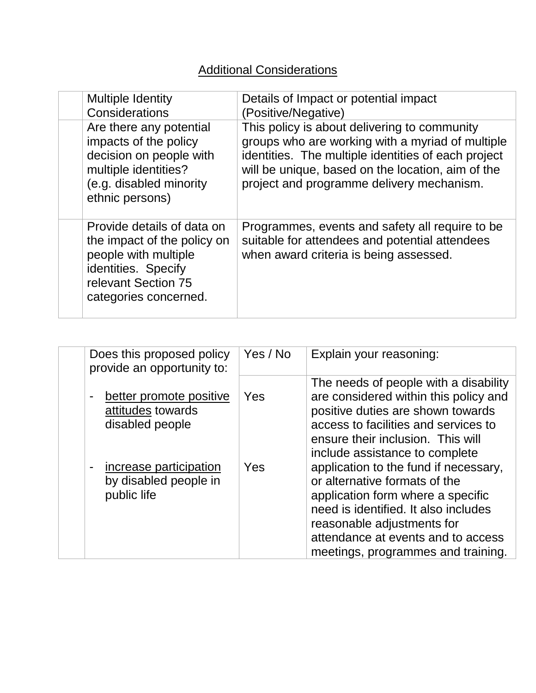## **Additional Considerations**

| <b>Multiple Identity</b><br>Considerations                                                                                                               | Details of Impact or potential impact<br>(Positive/Negative)                                                                                                                                                                                              |
|----------------------------------------------------------------------------------------------------------------------------------------------------------|-----------------------------------------------------------------------------------------------------------------------------------------------------------------------------------------------------------------------------------------------------------|
| Are there any potential<br>impacts of the policy<br>decision on people with<br>multiple identities?<br>(e.g. disabled minority<br>ethnic persons)        | This policy is about delivering to community<br>groups who are working with a myriad of multiple<br>identities. The multiple identities of each project<br>will be unique, based on the location, aim of the<br>project and programme delivery mechanism. |
| Provide details of data on<br>the impact of the policy on<br>people with multiple<br>identities. Specify<br>relevant Section 75<br>categories concerned. | Programmes, events and safety all require to be<br>suitable for attendees and potential attendees<br>when award criteria is being assessed.                                                                                                               |

|                | Does this proposed policy<br>provide an opportunity to:         | Yes / No | Explain your reasoning:                                                                                                                                                                                                                                                                        |
|----------------|-----------------------------------------------------------------|----------|------------------------------------------------------------------------------------------------------------------------------------------------------------------------------------------------------------------------------------------------------------------------------------------------|
|                | better promote positive<br>attitudes towards<br>disabled people | Yes      | The needs of people with a disability<br>are considered within this policy and<br>positive duties are shown towards<br>access to facilities and services to                                                                                                                                    |
| $\blacksquare$ | increase participation<br>by disabled people in<br>public life  | Yes      | ensure their inclusion. This will<br>include assistance to complete<br>application to the fund if necessary,<br>or alternative formats of the<br>application form where a specific<br>need is identified. It also includes<br>reasonable adjustments for<br>attendance at events and to access |
|                |                                                                 |          | meetings, programmes and training.                                                                                                                                                                                                                                                             |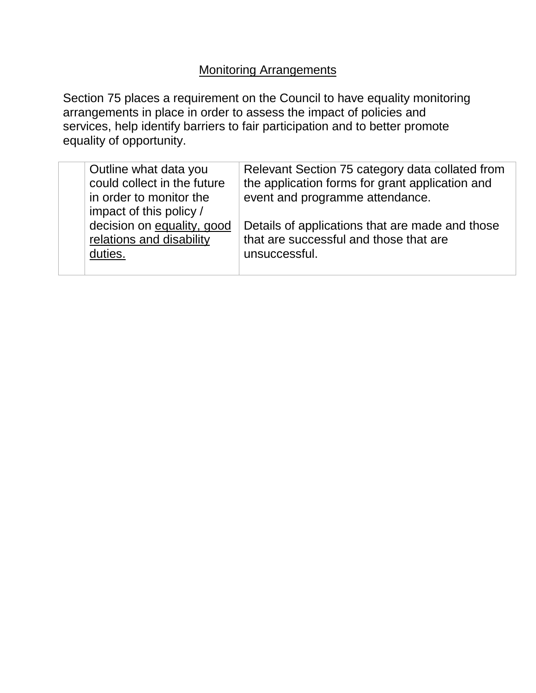# **Monitoring Arrangements**

Section 75 places a requirement on the Council to have equality monitoring arrangements in place in order to assess the impact of policies and services, help identify barriers to fair participation and to better promote equality of opportunity.

| Outline what data you<br>could collect in the future<br>in order to monitor the<br>impact of this policy / | Relevant Section 75 category data collated from<br>the application forms for grant application and<br>event and programme attendance. |
|------------------------------------------------------------------------------------------------------------|---------------------------------------------------------------------------------------------------------------------------------------|
| decision on equality, good<br>relations and disability<br>duties.                                          | Details of applications that are made and those<br>that are successful and those that are<br>unsuccessful.                            |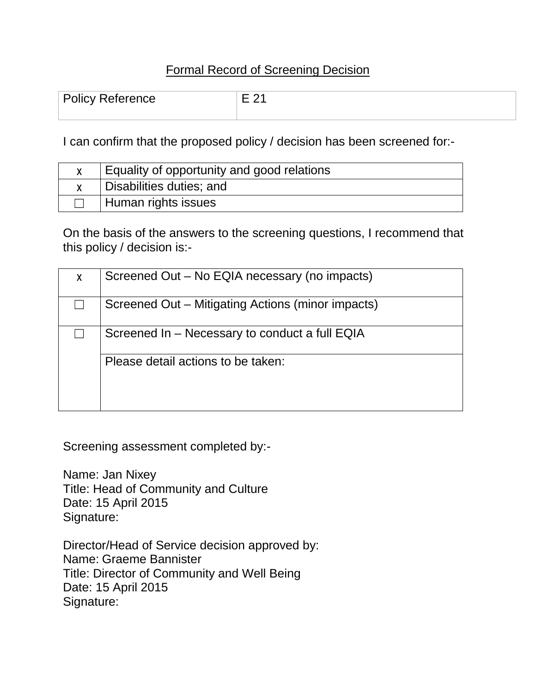#### Formal Record of Screening Decision

| <b>Policy Reference</b> | $\overline{\phantom{a}}$ |
|-------------------------|--------------------------|
|                         |                          |

I can confirm that the proposed policy / decision has been screened for:-

| Equality of opportunity and good relations |
|--------------------------------------------|
| Disabilities duties; and                   |
| Human rights issues                        |

On the basis of the answers to the screening questions, I recommend that this policy / decision is:-

| X | Screened Out - No EQIA necessary (no impacts)     |
|---|---------------------------------------------------|
|   | Screened Out – Mitigating Actions (minor impacts) |
|   | Screened In – Necessary to conduct a full EQIA    |
|   | Please detail actions to be taken:                |

Screening assessment completed by:-

Name: Jan Nixey Title: Head of Community and Culture Date: 15 April 2015 Signature:

Director/Head of Service decision approved by: Name: Graeme Bannister Title: Director of Community and Well Being Date: 15 April 2015 Signature: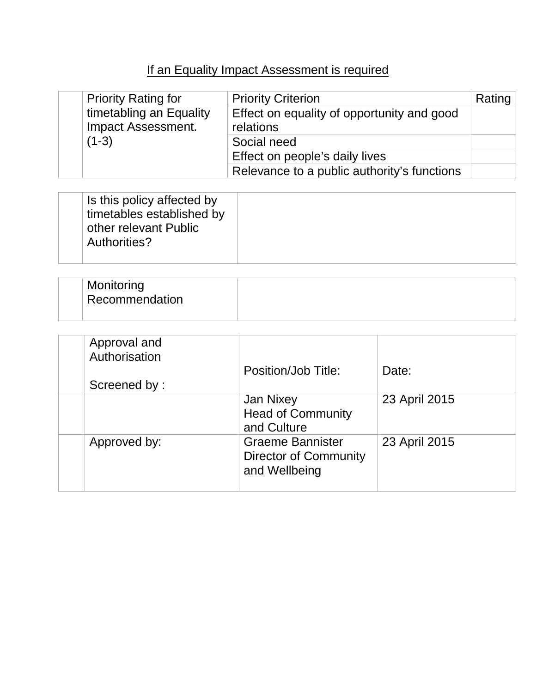# If an Equality Impact Assessment is required

| <b>Priority Rating for</b> | <b>Priority Criterion</b>                   | Rating |
|----------------------------|---------------------------------------------|--------|
| timetabling an Equality    | Effect on equality of opportunity and good  |        |
| <b>Impact Assessment.</b>  | relations                                   |        |
| $(1-3)$                    | Social need                                 |        |
|                            | Effect on people's daily lives              |        |
|                            | Relevance to a public authority's functions |        |

| Is this policy affected by<br>timetables established by<br>other relevant Public<br>Authorities? |  |
|--------------------------------------------------------------------------------------------------|--|
|                                                                                                  |  |

| Monitoring<br>Recommendation |  |
|------------------------------|--|
|                              |  |

| Approval and<br>Authorisation<br>Screened by: | Position/Job Title:                                                      | Date:         |
|-----------------------------------------------|--------------------------------------------------------------------------|---------------|
|                                               | Jan Nixey<br><b>Head of Community</b><br>and Culture                     | 23 April 2015 |
| Approved by:                                  | <b>Graeme Bannister</b><br><b>Director of Community</b><br>and Wellbeing | 23 April 2015 |